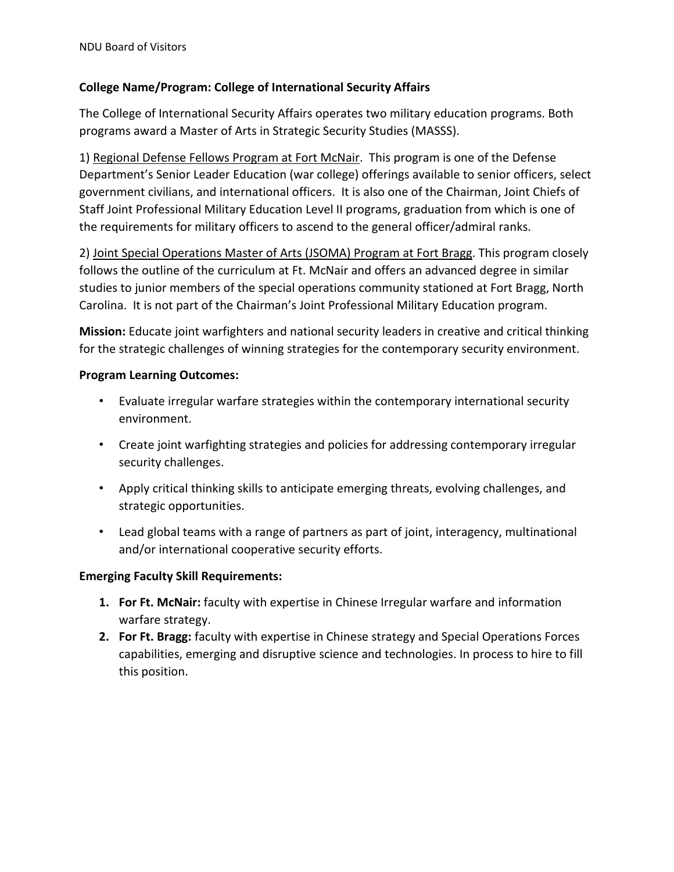## **College Name/Program: College of International Security Affairs**

The College of International Security Affairs operates two military education programs. Both programs award a Master of Arts in Strategic Security Studies (MASSS).

1) Regional Defense Fellows Program at Fort McNair. This program is one of the Defense Department's Senior Leader Education (war college) offerings available to senior officers, select government civilians, and international officers. It is also one of the Chairman, Joint Chiefs of Staff Joint Professional Military Education Level II programs, graduation from which is one of the requirements for military officers to ascend to the general officer/admiral ranks.

2) Joint Special Operations Master of Arts (JSOMA) Program at Fort Bragg. This program closely follows the outline of the curriculum at Ft. McNair and offers an advanced degree in similar studies to junior members of the special operations community stationed at Fort Bragg, North Carolina. It is not part of the Chairman's Joint Professional Military Education program.

**Mission:** Educate joint warfighters and national security leaders in creative and critical thinking for the strategic challenges of winning strategies for the contemporary security environment.

## **Program Learning Outcomes:**

- Evaluate irregular warfare strategies within the contemporary international security environment.
- Create joint warfighting strategies and policies for addressing contemporary irregular security challenges.
- Apply critical thinking skills to anticipate emerging threats, evolving challenges, and strategic opportunities.
- Lead global teams with a range of partners as part of joint, interagency, multinational and/or international cooperative security efforts.

## **Emerging Faculty Skill Requirements:**

- **1. For Ft. McNair:** faculty with expertise in Chinese Irregular warfare and information warfare strategy.
- **2. For Ft. Bragg:** faculty with expertise in Chinese strategy and Special Operations Forces capabilities, emerging and disruptive science and technologies. In process to hire to fill this position.